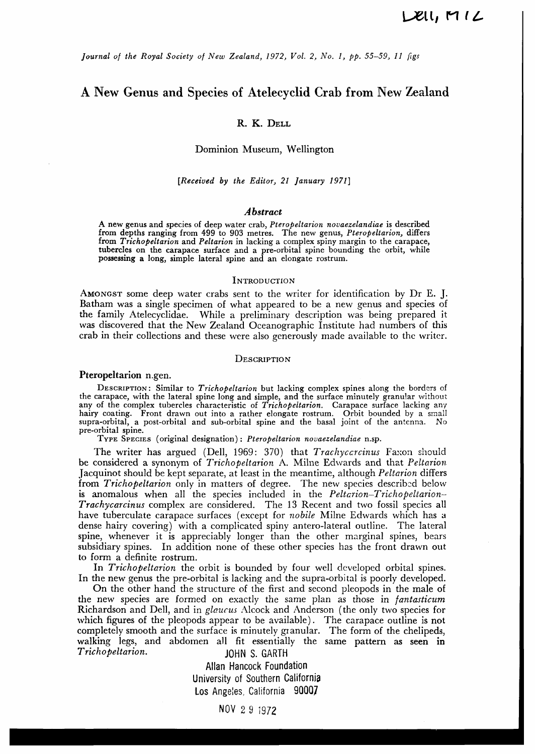# A New Genus and Species of Atelecyclid Crab from New Zealand

## **R. K. DELL**

### Dominion Museum, Wellington

#### *[Received by the Editor, 21 January 1971]*

#### *Abstract*

A new genus and species of deep water crab, *Pteropeltarion novaezelandiae* is described from depths ranging from 499 to 903 metres. The new genus, *Pteropeltarion,* differs from *Trichopeltarion* and *Peltarion* in lacking a complex spiny margin to the carapace, tubercles on the carapace surface and a pre-orbital spine bounding the orbit, while possessing a long, simple lateral spine and an elongate rostrum.

#### **INTRODUCTION**

AMONGST some deep water crabs sent to the writer for identification by Dr E. J. Batham was a single specimen of what appeared to be a new genus and species of the family Atelecyclidae. While a preliminary description was being prepared it was discovered that the New Zealand Oceanographic Institute had numbers of this crab in their collections and these were also generously made available to the writer.

#### **DESCRIPTION**

#### **Pteropeltarion** n.gen.

DESCRIPTION : Similar to *Trichopeltarion* but lacking complex spines along the borders of the carapace, with the lateral spine long and simple, and the surface minutely granular without any of the complex tubercles characteristic of *Trichopeltarion.* Carapace surface lacking any hairy coating. Front drawn out into a rather elongate rostrum. Orbit bounded by a small supra-orbital, a post-orbital and sub-orbital spine and the basal joint of the antenna. No pre-orbital spine.

TYPE SPECIES (original designation): *Pteropeltarion novaezelandiae* n.sp.

The writer has argued (Dell, 1969: 370) that *Trachyccrcinus* Faxon should be considered a synonym of *Trichopeltarion* A. Milne Edwards and that *Peltarion*  Jacquinot should be kept separate, at least in the meantime, although *Peltarion* differs from *Trichopeltarion* only in matters of degree. The new species described below is anomalous when all the species included in the *Peltarion–Trichopeltarion– Trachycarcinus* complex are considered. The 13 Recent and two fossil species all have tuberculate carapace surfaces (except for *nobile* Milne Edwards which has a dense hairy covering) with a complicated spiny antero-lateral outline. The lateral spine, whenever it is appreciably longer than the other marginal spines, bears subsidiary spines. In addition none of these other species has the front drawn out to form a definite rostrum.

In *Trichopeltarion* the orbit is bounded by four well developed orbital spines. In the new genus the pre-orbital is lacking and the supra-orbital is poorly developed.

On the other hand the structure of the first and second pleopods in the male of the new species are formed on exactly the same plan as those in *fantasticum*  Richardson and Dell, and in *glaucus* Alcock and Anderson (the only two species for which figures of the pleopods appear to be available). The carapace outline is not completely smooth and the surface is minutely granular. The form of the chelipeds, walking legs, and abdomen all fit essentially the same pattern as seen **in**  *Trichopeltarion.* JOHN S. GARTH

> **Allan Hancock Foundation University of Southern California Los Angeles, California 90007**

> > **NOV 2 9 1972**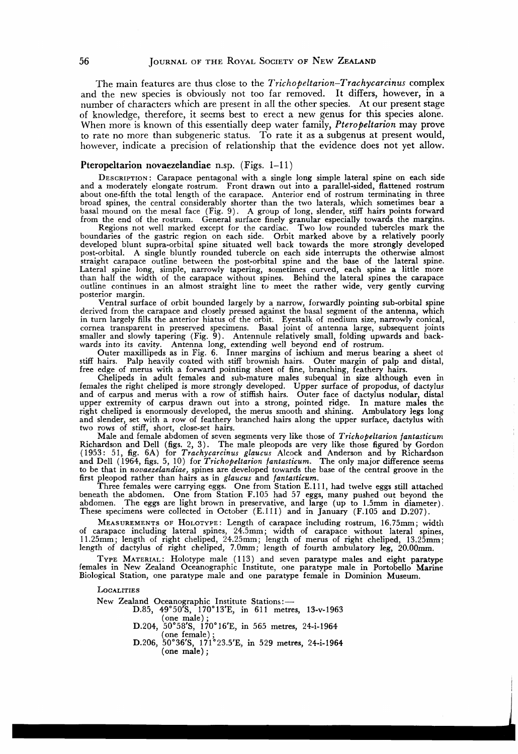The main features are thus close to the *Trichopeltarion-Trachycarcinus* complex and the new species is obviously not too far removed. It differs, however, in a number of characters which are present in all the other species. At our present stage of knowledge, therefore, it seems best to erect a new genus for this species alone. When more is known of this essentially deep water family, *Pteropeltarion* may prove to rate no more than subgeneric status. To rate it as a subgenus at present would, however, indicate a precision of relationship that the evidence does not yet allow.

#### **Pteropeltarion novaezelandiae** n.sp. (Figs. 1-11)

DESCRIPTION : Carapace pentagonal with a single long simple lateral spine on each side and a moderately elongate rostrum. Front drawn out into a parallel-sided, flattened rostrum about one-fifth the total length of the carapace. Anterior end of rostrum terminating in three broad spines, the central considerably shorter than the two laterals, which sometimes bear a basal mound on the mesal face (Fig. 9). A group of long, slender, stiff hairs points forward from the end of the rostrum. General surface finely granular especially towards the margins.

Regions not well marked except for the cardiac. Two low rounded tubercles mark the boundaries of the gastric region on each side. Orbit marked above by a relatively poorly developed blunt supra-orbital spine situated well back towards the more strongly developed post-orbital. A single bluntly rounded tubercle on each side interrupts the otherwise almost straight carapace outline between the post-orbital spine and the base of the lateral spine. Lateral spine long, simple, narrowly tapering, sometimes curved, each spine a little more than half the width of the carapace without spines. Behind the lateral spines the carapace outline continues in an almost straight line to meet the rather wide, very gently curving posterior margin.

Ventral surface of orbit bounded largely by a narrow, forwardly pointing sub-orbital spine derived from the carapace and closely pressed against the basal segment of the antenna, which in turn largely fills the anterior hiatus of the orbit. Eyestalk of medium size, narrowly conical, cornea transparent in preserved specimens. Basal joint of antenna large, subsequent joints smaller and slowly tapering (Fig. 9). Antennule relatively small, folding upwards and backwards into its cavity. Antenna long, extending well beyond end of rostrum.

Outer maxillipeds as in Fig. 6. Inner margins of ischium and merus bearing a sheet ot stiff hairs. Palp heavily coated with stiff brownish hairs. Outer margin of palp and distal, free edge of merus with a forward pointing sheet of fine, branching, feathery hairs.

Chelipeds in adult females and sub-mature males subequal in size although even in females the right cheliped is more strongly developed. Upper surface of propodus, of dactylus and of carpus and merus with a row of stiffish hairs. Outer face of dactylus nodular, distal upper extremity of carpus drawn out into a strong, pointed ridge. In mature males the right cheliped is enormously developed, the merus smooth and shining. Ambulatory legs long and slender, set with a row of feathery branched hairs along the upper surface, dactylus with two rows of stiff, short, close-set hairs.

Male and female abdomen of seven segments very like those of *Trichopeltarion fantasticum*  Richardson and Dell (figs. 2, 3). The male pleopods are very like those figured by Gordon (1953: 51, fig. 6A) for *Trachycarcinus glaucus* Alcock and Anderson and by Richardson and Dell (1964, figs. 5, 10) for *Trichopeltarion fantasticum.* The only major difference seems to be that in *novaezelandiae,* spines are developed towards the base of the central groove in the first pleopod rather than hairs as in *glaucus* and *fantasticum.* 

Three females were carrying eggs. One from Station E.lll , had twelve eggs still attached beneath the abdomen. One from Station F.105 had 57 eggs, many pushed out beyond the abdomen. The eggs are light brown in preservative, and large (up to 1.5mm in diameter). These specimens were collected in October (E.lll) and in January (F.105 and D.207).

MEASUREMENTS OF HOLOTYPE: Length of carapace including rostrum, 16.75mm; width of carapace including lateral spines, 24.5mm; width of carapace without lateral spines, 11.25mm; length of right cheliped, 24.25mm; length of merus of right cheliped, 13.25mm; length of dactylus of right cheliped, 7.0mm; length of fourth ambulatory leg, 20.00mm.

TYPE MATERIAL: Holotype male (113) and seven paratype males and eight paratype females in New Zealand Oceanographic Institute, one paratype male in Portobello Marine Biological Station, one paratype male and one paratype female in Dominion Museum.

#### **LOCALITIES**

New Zealand Oceanographic Institute Stations: —

- D.85, 49°50'S, 170°13'E, in 611 metres, 13-V-1963 (one male);
- D.204, 50°58'S, 170°16'E, in 565 metres, 24-i-1964 (one female);
- D.206, 50°36'S, 171°23.5'E, in 529 metres, 24-i-1964 (one male);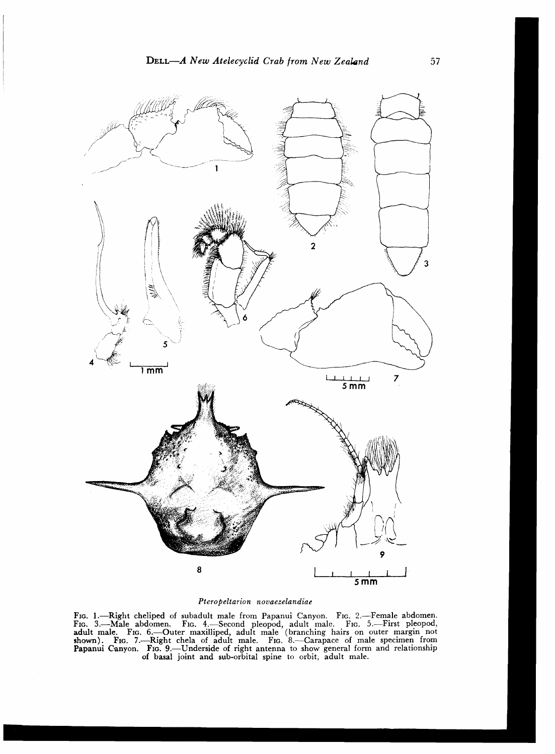

#### *Pteropeltarion novaezelandiae*

Fig. 1.—Right cheliped of subadult male from Papanui Canyon. Fig. 2.—Female abdomen.<br>Fig. 3.—Male abdomen. Fig. 4.—Second pleopod, adult male. Fig. 5.—First pleopod, adult male. Fig. 6.—Outer maxilliped, adult male (branch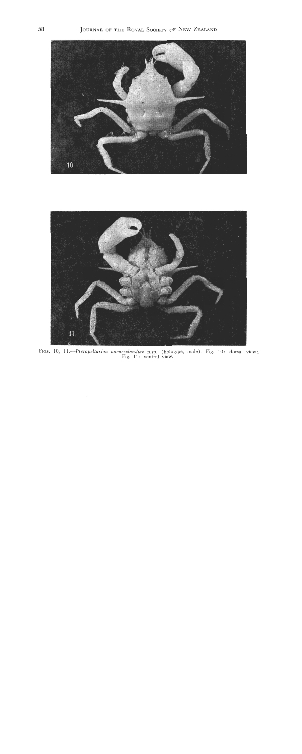



Fig. 10, 11.—Pteropeltarion novaezelandiae n.sp. (holotype, male). Fig. 10: dorsal view;<br>Fig. 11: ventral view.